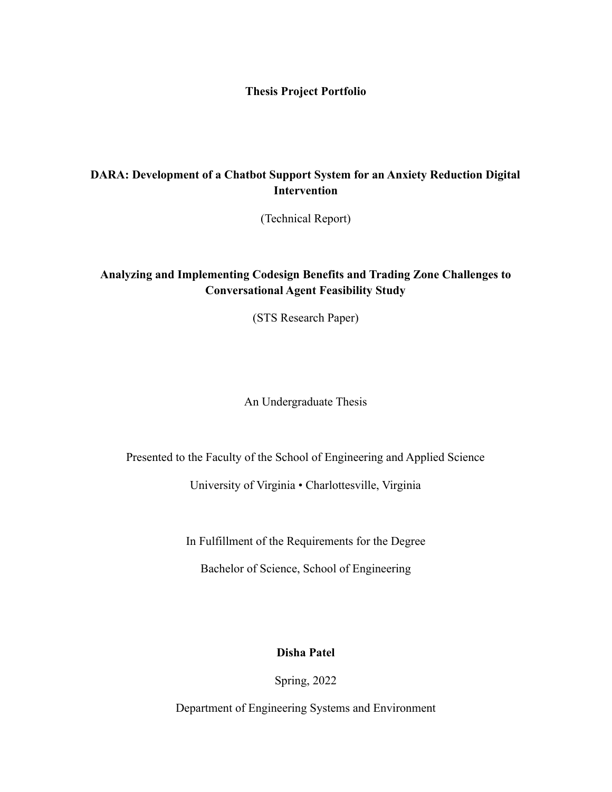**Thesis Project Portfolio**

## **DARA: Development of a Chatbot Support System for an Anxiety Reduction Digital Intervention**

(Technical Report)

## **Analyzing and Implementing Codesign Benefits and Trading Zone Challenges to Conversational Agent Feasibility Study**

(STS Research Paper)

An Undergraduate Thesis

Presented to the Faculty of the School of Engineering and Applied Science

University of Virginia • Charlottesville, Virginia

In Fulfillment of the Requirements for the Degree

Bachelor of Science, School of Engineering

**Disha Patel**

Spring, 2022

Department of Engineering Systems and Environment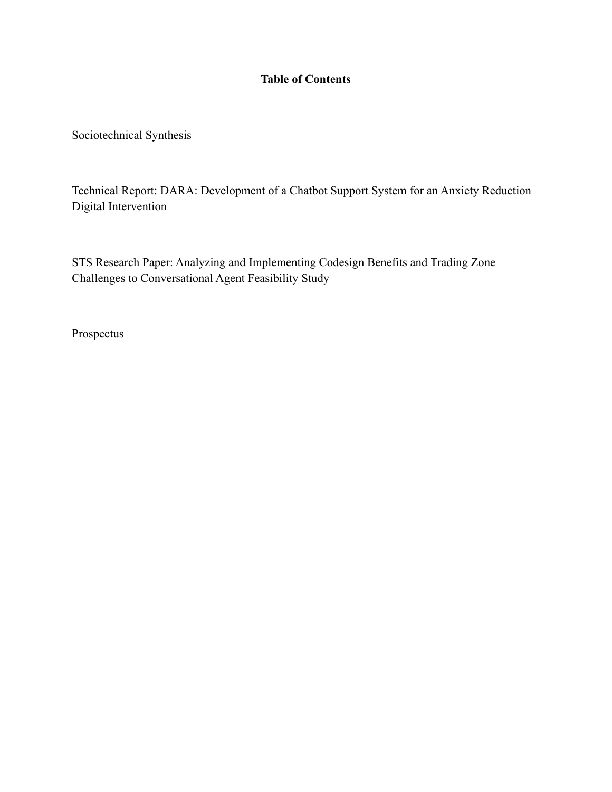## **Table of Contents**

Sociotechnical Synthesis

Technical Report: DARA: Development of a Chatbot Support System for an Anxiety Reduction Digital Intervention

STS Research Paper: Analyzing and Implementing Codesign Benefits and Trading Zone Challenges to Conversational Agent Feasibility Study

Prospectus